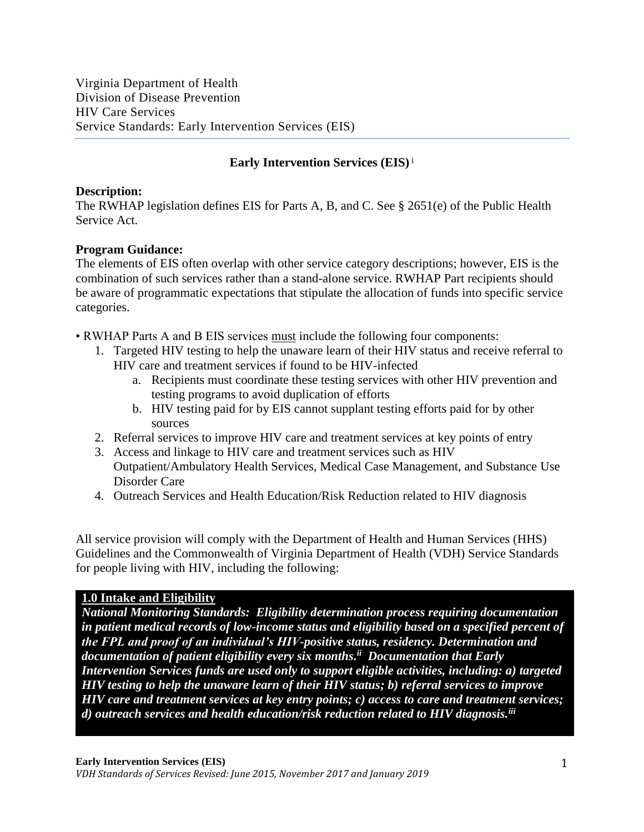## **Early Intervention Services (EIS)**<sup>i</sup>

## **Description:**

The RWHAP legislation defines EIS for Parts A, B, and C. See § 2651(e) of the Public Health Service Act.

## **Program Guidance:**

The elements of EIS often overlap with other service category descriptions; however, EIS is the combination of such services rather than a stand-alone service. RWHAP Part recipients should be aware of programmatic expectations that stipulate the allocation of funds into specific service categories.

• RWHAP Parts A and B EIS services must include the following four components:

- 1. Targeted HIV testing to help the unaware learn of their HIV status and receive referral to HIV care and treatment services if found to be HIV-infected
	- a. Recipients must coordinate these testing services with other HIV prevention and testing programs to avoid duplication of efforts
	- b. HIV testing paid for by EIS cannot supplant testing efforts paid for by other sources
- 2. Referral services to improve HIV care and treatment services at key points of entry
- 3. Access and linkage to HIV care and treatment services such as HIV Outpatient/Ambulatory Health Services, Medical Case Management, and Substance Use Disorder Care
- 4. Outreach Services and Health Education/Risk Reduction related to HIV diagnosis

All service provision will comply with the Department of Health and Human Services (HHS) Guidelines and the Commonwealth of Virginia Department of Health (VDH) Service Standards for people living with HIV, including the following:

## **1.0 Intake and Eligibility**

*National Monitoring Standards: Eligibility determination process requiring documentation in patient medical records of low-income status and eligibility based on a specified percent of the FPL and proof of an individual's HIV-positive status, residency. Determination and documentation of patient eligibility every six months. ii Documentation that Early Intervention Services funds are used only to support eligible activities, including: a) targeted HIV testing to help the unaware learn of their HIV status; b) referral services to improve HIV care and treatment services at key entry points; c) access to care and treatment services; d) outreach services and health education/risk reduction related to HIV diagnosis.iii*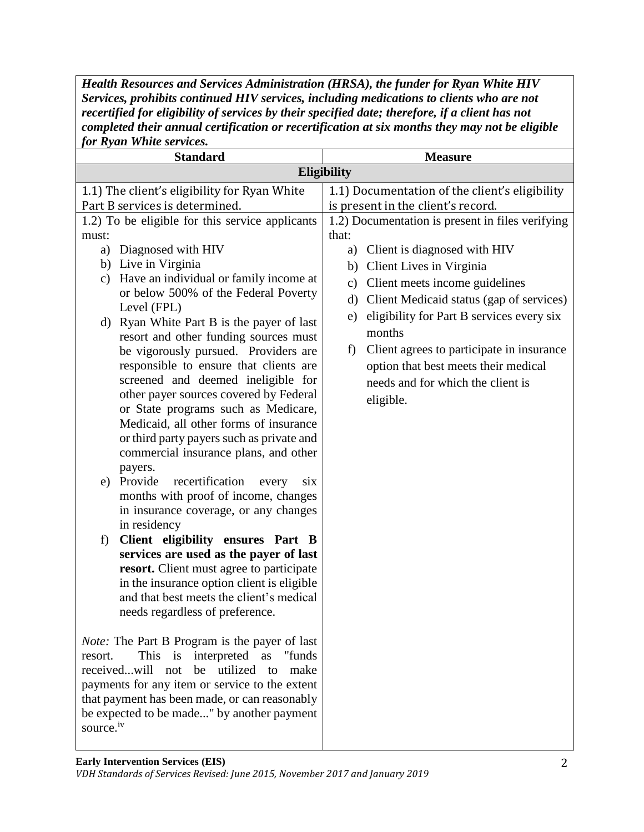*Health Resources and Services Administration (HRSA), the funder for Ryan White HIV Services, prohibits continued HIV services, including medications to clients who are not recertified for eligibility of services by their specified date; therefore, if a client has not completed their annual certification or recertification at six months they may not be eligible for Ryan White services.*

| <i>UI IXYUIL WIILL</i> C SCI <i>VI</i> CCS.                     |                                                     |
|-----------------------------------------------------------------|-----------------------------------------------------|
| <b>Standard</b>                                                 | <b>Measure</b>                                      |
|                                                                 | <b>Eligibility</b>                                  |
| 1.1) The client's eligibility for Ryan White                    | 1.1) Documentation of the client's eligibility      |
| Part B services is determined.                                  | is present in the client's record.                  |
| 1.2) To be eligible for this service applicants                 | 1.2) Documentation is present in files verifying    |
| must:                                                           | that:                                               |
| Diagnosed with HIV<br>a)                                        | a) Client is diagnosed with HIV                     |
| b) Live in Virginia                                             | Client Lives in Virginia<br>b)                      |
| Have an individual or family income at<br>c)                    | Client meets income guidelines<br>$\mathbf{c})$     |
| or below 500% of the Federal Poverty                            | Client Medicaid status (gap of services)<br>$\rm d$ |
| Level (FPL)                                                     | eligibility for Part B services every six<br>e)     |
| d) Ryan White Part B is the payer of last                       | months                                              |
| resort and other funding sources must                           |                                                     |
| be vigorously pursued. Providers are                            | Client agrees to participate in insurance<br>f)     |
| responsible to ensure that clients are                          | option that best meets their medical                |
| screened and deemed ineligible for                              | needs and for which the client is                   |
| other payer sources covered by Federal                          | eligible.                                           |
| or State programs such as Medicare,                             |                                                     |
| Medicaid, all other forms of insurance                          |                                                     |
| or third party payers such as private and                       |                                                     |
| commercial insurance plans, and other                           |                                                     |
| payers.<br>recertification<br>e) Provide<br>every<br><b>SiX</b> |                                                     |
| months with proof of income, changes                            |                                                     |
| in insurance coverage, or any changes                           |                                                     |
| in residency                                                    |                                                     |
| Client eligibility ensures Part B<br>f)                         |                                                     |
| services are used as the payer of last                          |                                                     |
| resort. Client must agree to participate                        |                                                     |
| in the insurance option client is eligible                      |                                                     |
| and that best meets the client's medical                        |                                                     |
| needs regardless of preference                                  |                                                     |
|                                                                 |                                                     |
| <i>Note:</i> The Part B Program is the payer of last            |                                                     |
| This<br>i <sub>S</sub><br>interpreted as<br>"funds<br>resort.   |                                                     |
| utilized to<br>receivedwill<br>be<br>make<br>not                |                                                     |
| payments for any item or service to the extent                  |                                                     |
| that payment has been made, or can reasonably                   |                                                     |
| be expected to be made" by another payment                      |                                                     |
| source. <sup>iv</sup>                                           |                                                     |
|                                                                 |                                                     |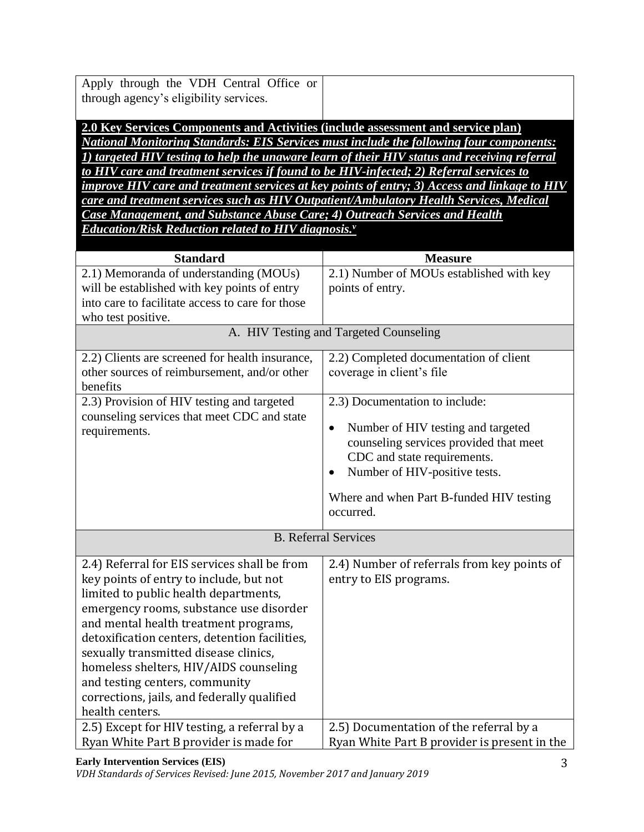| Apply through the VDH Central Office or |
|-----------------------------------------|
| through agency's eligibility services.  |

**2.0 Key Services Components and Activities (include assessment and service plan)** *National Monitoring Standards: EIS Services must include the following four components: 1) targeted HIV testing to help the unaware learn of their HIV status and receiving referral to HIV care and treatment services if found to be HIV-infected; 2) Referral services to improve HIV care and treatment services at key points of entry; 3) Access and linkage to HIV care and treatment services such as HIV Outpatient/Ambulatory Health Services, Medical Case Management, and Substance Abuse Care; 4) Outreach Services and Health Education/Risk Reduction related to HIV diagnosis.<sup>v</sup>*

| <b>Standard</b>                                                                                                                                                                                                                                                                                                                                                                                                                                              | <b>Measure</b>                                                                                                                                                         |
|--------------------------------------------------------------------------------------------------------------------------------------------------------------------------------------------------------------------------------------------------------------------------------------------------------------------------------------------------------------------------------------------------------------------------------------------------------------|------------------------------------------------------------------------------------------------------------------------------------------------------------------------|
| 2.1) Memoranda of understanding (MOUs)                                                                                                                                                                                                                                                                                                                                                                                                                       | 2.1) Number of MOUs established with key                                                                                                                               |
| will be established with key points of entry                                                                                                                                                                                                                                                                                                                                                                                                                 | points of entry.                                                                                                                                                       |
| into care to facilitate access to care for those                                                                                                                                                                                                                                                                                                                                                                                                             |                                                                                                                                                                        |
| who test positive.                                                                                                                                                                                                                                                                                                                                                                                                                                           |                                                                                                                                                                        |
|                                                                                                                                                                                                                                                                                                                                                                                                                                                              | A. HIV Testing and Targeted Counseling                                                                                                                                 |
| 2.2) Clients are screened for health insurance,                                                                                                                                                                                                                                                                                                                                                                                                              | 2.2) Completed documentation of client                                                                                                                                 |
| other sources of reimbursement, and/or other<br>benefits                                                                                                                                                                                                                                                                                                                                                                                                     | coverage in client's file                                                                                                                                              |
| 2.3) Provision of HIV testing and targeted                                                                                                                                                                                                                                                                                                                                                                                                                   | 2.3) Documentation to include:                                                                                                                                         |
| counseling services that meet CDC and state<br>requirements.                                                                                                                                                                                                                                                                                                                                                                                                 | Number of HIV testing and targeted<br>$\bullet$<br>counseling services provided that meet<br>CDC and state requirements.<br>Number of HIV-positive tests.<br>$\bullet$ |
|                                                                                                                                                                                                                                                                                                                                                                                                                                                              | Where and when Part B-funded HIV testing<br>occurred.                                                                                                                  |
|                                                                                                                                                                                                                                                                                                                                                                                                                                                              | <b>B.</b> Referral Services                                                                                                                                            |
| 2.4) Referral for EIS services shall be from<br>key points of entry to include, but not<br>limited to public health departments,<br>emergency rooms, substance use disorder<br>and mental health treatment programs,<br>detoxification centers, detention facilities,<br>sexually transmitted disease clinics,<br>homeless shelters, HIV/AIDS counseling<br>and testing centers, community<br>corrections, jails, and federally qualified<br>health centers. | 2.4) Number of referrals from key points of<br>entry to EIS programs.                                                                                                  |
| 2.5) Except for HIV testing, a referral by a                                                                                                                                                                                                                                                                                                                                                                                                                 | 2.5) Documentation of the referral by a                                                                                                                                |
| Ryan White Part B provider is made for                                                                                                                                                                                                                                                                                                                                                                                                                       | Ryan White Part B provider is present in the                                                                                                                           |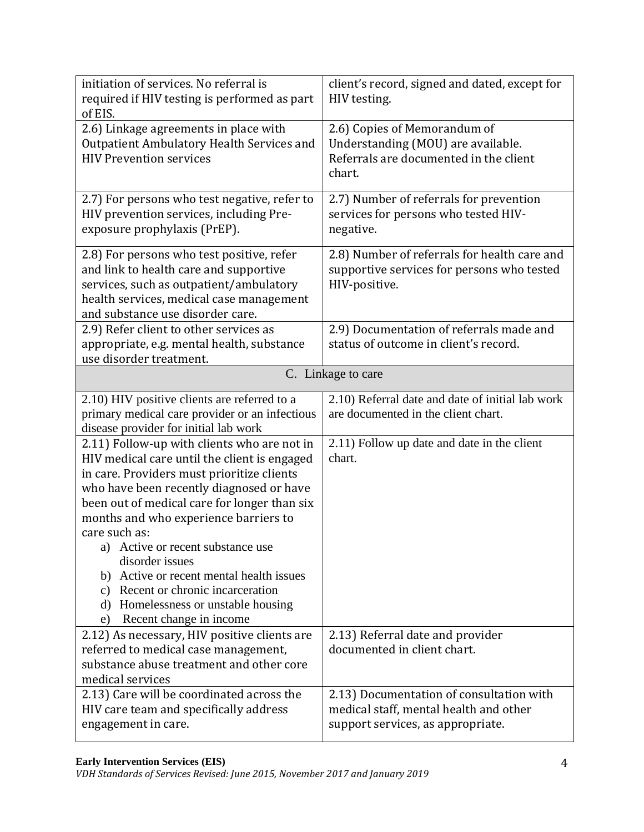| initiation of services. No referral is<br>required if HIV testing is performed as part<br>of EIS.                                                                                                                                                                                                                                                                                                                                                                                                                    | client's record, signed and dated, except for<br>HIV testing.                                                           |
|----------------------------------------------------------------------------------------------------------------------------------------------------------------------------------------------------------------------------------------------------------------------------------------------------------------------------------------------------------------------------------------------------------------------------------------------------------------------------------------------------------------------|-------------------------------------------------------------------------------------------------------------------------|
| 2.6) Linkage agreements in place with<br>Outpatient Ambulatory Health Services and<br><b>HIV Prevention services</b>                                                                                                                                                                                                                                                                                                                                                                                                 | 2.6) Copies of Memorandum of<br>Understanding (MOU) are available.<br>Referrals are documented in the client<br>chart.  |
| 2.7) For persons who test negative, refer to<br>HIV prevention services, including Pre-<br>exposure prophylaxis (PrEP).                                                                                                                                                                                                                                                                                                                                                                                              | 2.7) Number of referrals for prevention<br>services for persons who tested HIV-<br>negative.                            |
| 2.8) For persons who test positive, refer<br>and link to health care and supportive<br>services, such as outpatient/ambulatory<br>health services, medical case management<br>and substance use disorder care.                                                                                                                                                                                                                                                                                                       | 2.8) Number of referrals for health care and<br>supportive services for persons who tested<br>HIV-positive.             |
| 2.9) Refer client to other services as<br>appropriate, e.g. mental health, substance<br>use disorder treatment.                                                                                                                                                                                                                                                                                                                                                                                                      | 2.9) Documentation of referrals made and<br>status of outcome in client's record.                                       |
| C. Linkage to care                                                                                                                                                                                                                                                                                                                                                                                                                                                                                                   |                                                                                                                         |
| 2.10) HIV positive clients are referred to a<br>primary medical care provider or an infectious<br>disease provider for initial lab work                                                                                                                                                                                                                                                                                                                                                                              | 2.10) Referral date and date of initial lab work<br>are documented in the client chart.                                 |
| 2.11) Follow-up with clients who are not in<br>HIV medical care until the client is engaged<br>in care. Providers must prioritize clients<br>who have been recently diagnosed or have<br>been out of medical care for longer than six<br>months and who experience barriers to<br>care such as:<br>a) Active or recent substance use<br>disorder issues<br>b) Active or recent mental health issues<br>c) Recent or chronic incarceration<br>Homelessness or unstable housing<br>d)<br>Recent change in income<br>e) | 2.11) Follow up date and date in the client<br>chart.                                                                   |
| 2.12) As necessary, HIV positive clients are<br>referred to medical case management,<br>substance abuse treatment and other core<br>medical services                                                                                                                                                                                                                                                                                                                                                                 | 2.13) Referral date and provider<br>documented in client chart.                                                         |
| 2.13) Care will be coordinated across the<br>HIV care team and specifically address<br>engagement in care.                                                                                                                                                                                                                                                                                                                                                                                                           | 2.13) Documentation of consultation with<br>medical staff, mental health and other<br>support services, as appropriate. |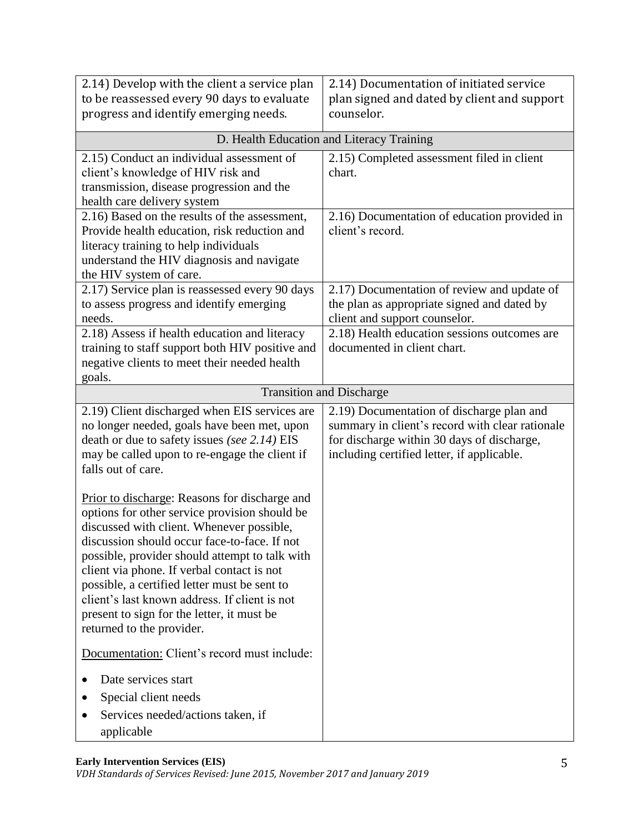| 2.14) Develop with the client a service plan<br>to be reassessed every 90 days to evaluate<br>progress and identify emerging needs.                                                                                                                                                                                                                                                                                                                                     | 2.14) Documentation of initiated service<br>plan signed and dated by client and support<br>counselor.                                                                                    |
|-------------------------------------------------------------------------------------------------------------------------------------------------------------------------------------------------------------------------------------------------------------------------------------------------------------------------------------------------------------------------------------------------------------------------------------------------------------------------|------------------------------------------------------------------------------------------------------------------------------------------------------------------------------------------|
|                                                                                                                                                                                                                                                                                                                                                                                                                                                                         | D. Health Education and Literacy Training                                                                                                                                                |
| 2.15) Conduct an individual assessment of<br>client's knowledge of HIV risk and<br>transmission, disease progression and the<br>health care delivery system                                                                                                                                                                                                                                                                                                             | 2.15) Completed assessment filed in client<br>chart.                                                                                                                                     |
| 2.16) Based on the results of the assessment,<br>Provide health education, risk reduction and<br>literacy training to help individuals<br>understand the HIV diagnosis and navigate<br>the HIV system of care.                                                                                                                                                                                                                                                          | 2.16) Documentation of education provided in<br>client's record.                                                                                                                         |
| 2.17) Service plan is reassessed every 90 days<br>to assess progress and identify emerging<br>needs.                                                                                                                                                                                                                                                                                                                                                                    | 2.17) Documentation of review and update of<br>the plan as appropriate signed and dated by<br>client and support counselor.                                                              |
| 2.18) Assess if health education and literacy<br>training to staff support both HIV positive and<br>negative clients to meet their needed health<br>goals.                                                                                                                                                                                                                                                                                                              | 2.18) Health education sessions outcomes are<br>documented in client chart.                                                                                                              |
|                                                                                                                                                                                                                                                                                                                                                                                                                                                                         | <b>Transition and Discharge</b>                                                                                                                                                          |
| 2.19) Client discharged when EIS services are<br>no longer needed, goals have been met, upon<br>death or due to safety issues (see 2.14) EIS<br>may be called upon to re-engage the client if<br>falls out of care.                                                                                                                                                                                                                                                     | 2.19) Documentation of discharge plan and<br>summary in client's record with clear rationale<br>for discharge within 30 days of discharge,<br>including certified letter, if applicable. |
| Prior to discharge: Reasons for discharge and<br>options for other service provision should be<br>discussed with client. Whenever possible,<br>discussion should occur face-to-face. If not<br>possible, provider should attempt to talk with<br>client via phone. If verbal contact is not<br>possible, a certified letter must be sent to<br>client's last known address. If client is not<br>present to sign for the letter, it must be<br>returned to the provider. |                                                                                                                                                                                          |
| Documentation: Client's record must include:                                                                                                                                                                                                                                                                                                                                                                                                                            |                                                                                                                                                                                          |
| Date services start<br>Special client needs<br>Services needed/actions taken, if<br>applicable                                                                                                                                                                                                                                                                                                                                                                          |                                                                                                                                                                                          |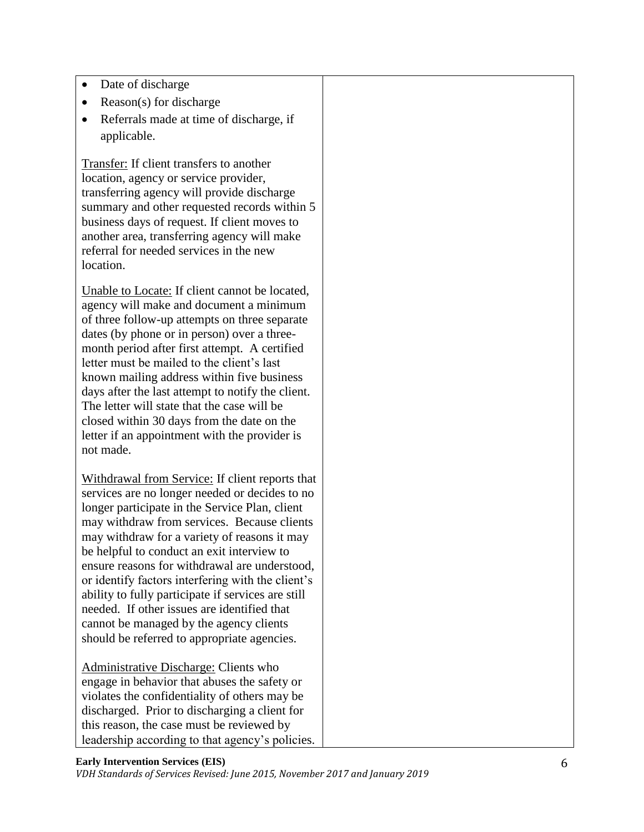- Date of discharge
- Reason(s) for discharge
- Referrals made at time of discharge, if applicable.

Transfer: If client transfers to another location, agency or service provider, transferring agency will provide discharge summary and other requested records within 5 business days of request. If client moves to another area, transferring agency will make referral for needed services in the new location.

Unable to Locate: If client cannot be located, agency will make and document a minimum of three follow-up attempts on three separate dates (by phone or in person) over a threemonth period after first attempt. A certified letter must be mailed to the client's last known mailing address within five business days after the last attempt to notify the client. The letter will state that the case will be closed within 30 days from the date on the letter if an appointment with the provider is not made.

Withdrawal from Service: If client reports that services are no longer needed or decides to no longer participate in the Service Plan, client may withdraw from services. Because clients may withdraw for a variety of reasons it may be helpful to conduct an exit interview to ensure reasons for withdrawal are understood, or identify factors interfering with the client's ability to fully participate if services are still needed. If other issues are identified that cannot be managed by the agency clients should be referred to appropriate agencies.

Administrative Discharge: Clients who engage in behavior that abuses the safety or violates the confidentiality of others may be discharged. Prior to discharging a client for this reason, the case must be reviewed by leadership according to that agency's policies.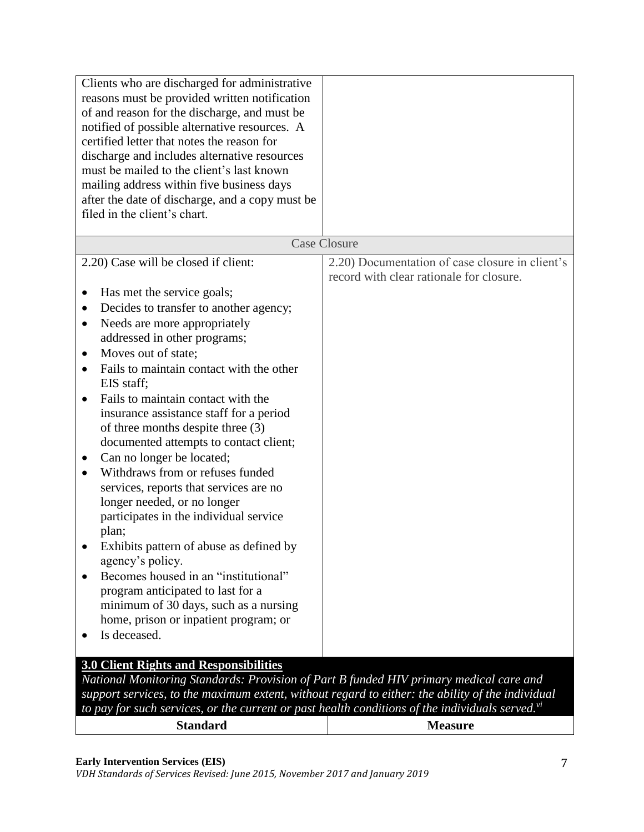| Clients who are discharged for administrative<br>reasons must be provided written notification<br>of and reason for the discharge, and must be<br>notified of possible alternative resources. A<br>certified letter that notes the reason for<br>discharge and includes alternative resources<br>must be mailed to the client's last known<br>mailing address within five business days<br>after the date of discharge, and a copy must be<br>filed in the client's chart.                                                                                                                                                                                                                                                                                                                                                                                                                                                               |                                                                                             |
|------------------------------------------------------------------------------------------------------------------------------------------------------------------------------------------------------------------------------------------------------------------------------------------------------------------------------------------------------------------------------------------------------------------------------------------------------------------------------------------------------------------------------------------------------------------------------------------------------------------------------------------------------------------------------------------------------------------------------------------------------------------------------------------------------------------------------------------------------------------------------------------------------------------------------------------|---------------------------------------------------------------------------------------------|
|                                                                                                                                                                                                                                                                                                                                                                                                                                                                                                                                                                                                                                                                                                                                                                                                                                                                                                                                          | <b>Case Closure</b>                                                                         |
| 2.20) Case will be closed if client:                                                                                                                                                                                                                                                                                                                                                                                                                                                                                                                                                                                                                                                                                                                                                                                                                                                                                                     | 2.20) Documentation of case closure in client's<br>record with clear rationale for closure. |
| Has met the service goals;<br>$\bullet$<br>Decides to transfer to another agency;<br>$\bullet$<br>Needs are more appropriately<br>$\bullet$<br>addressed in other programs;<br>Moves out of state;<br>$\bullet$<br>Fails to maintain contact with the other<br>$\bullet$<br>EIS staff;<br>Fails to maintain contact with the<br>$\bullet$<br>insurance assistance staff for a period<br>of three months despite three (3)<br>documented attempts to contact client;<br>Can no longer be located;<br>$\bullet$<br>Withdraws from or refuses funded<br>services, reports that services are no<br>longer needed, or no longer<br>participates in the individual service<br>plan;<br>Exhibits pattern of abuse as defined by<br>agency's policy.<br>Becomes housed in an "institutional"<br>$\bullet$<br>program anticipated to last for a<br>minimum of 30 days, such as a nursing<br>home, prison or inpatient program; or<br>Is deceased. |                                                                                             |
| 3.0 Client Rights and Responsibilities<br>National Monitoring Standards: Provision of Part B funded HIV primary medical care and                                                                                                                                                                                                                                                                                                                                                                                                                                                                                                                                                                                                                                                                                                                                                                                                         |                                                                                             |
| support services, to the maximum extent, without regard to either: the ability of the individual<br>to pay for such services, or the current or past health conditions of the individuals served. $vi$                                                                                                                                                                                                                                                                                                                                                                                                                                                                                                                                                                                                                                                                                                                                   |                                                                                             |
| <b>Standard</b>                                                                                                                                                                                                                                                                                                                                                                                                                                                                                                                                                                                                                                                                                                                                                                                                                                                                                                                          | <b>Measure</b>                                                                              |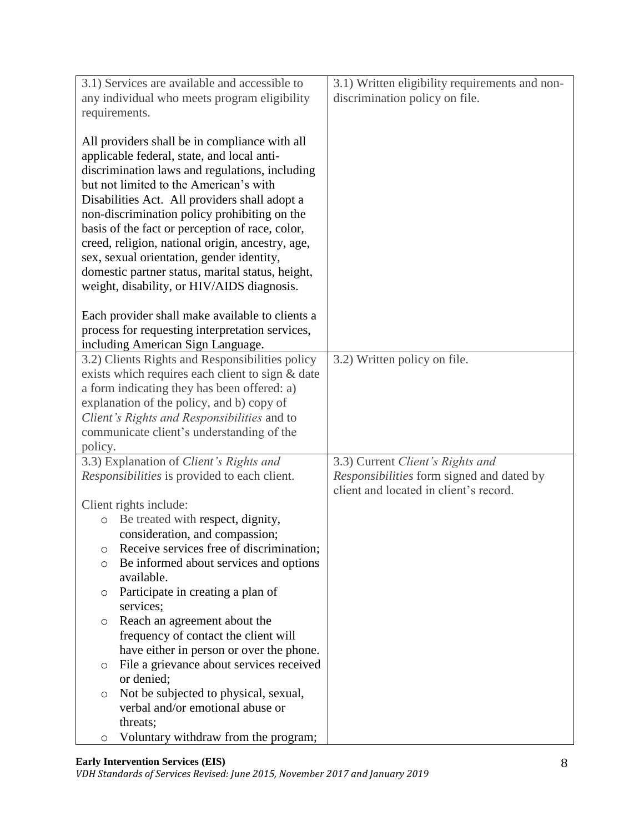| 3.1) Services are available and accessible to                                                                                                                                                                                                                                                                                                                                                                                                                                                                                                  | 3.1) Written eligibility requirements and non-                                      |
|------------------------------------------------------------------------------------------------------------------------------------------------------------------------------------------------------------------------------------------------------------------------------------------------------------------------------------------------------------------------------------------------------------------------------------------------------------------------------------------------------------------------------------------------|-------------------------------------------------------------------------------------|
| any individual who meets program eligibility                                                                                                                                                                                                                                                                                                                                                                                                                                                                                                   | discrimination policy on file.                                                      |
| requirements.                                                                                                                                                                                                                                                                                                                                                                                                                                                                                                                                  |                                                                                     |
| All providers shall be in compliance with all<br>applicable federal, state, and local anti-<br>discrimination laws and regulations, including<br>but not limited to the American's with<br>Disabilities Act. All providers shall adopt a<br>non-discrimination policy prohibiting on the<br>basis of the fact or perception of race, color,<br>creed, religion, national origin, ancestry, age,<br>sex, sexual orientation, gender identity,<br>domestic partner status, marital status, height,<br>weight, disability, or HIV/AIDS diagnosis. |                                                                                     |
| Each provider shall make available to clients a                                                                                                                                                                                                                                                                                                                                                                                                                                                                                                |                                                                                     |
| process for requesting interpretation services,                                                                                                                                                                                                                                                                                                                                                                                                                                                                                                |                                                                                     |
| including American Sign Language.                                                                                                                                                                                                                                                                                                                                                                                                                                                                                                              |                                                                                     |
| 3.2) Clients Rights and Responsibilities policy                                                                                                                                                                                                                                                                                                                                                                                                                                                                                                | 3.2) Written policy on file.                                                        |
| exists which requires each client to sign & date<br>a form indicating they has been offered: a)                                                                                                                                                                                                                                                                                                                                                                                                                                                |                                                                                     |
| explanation of the policy, and b) copy of                                                                                                                                                                                                                                                                                                                                                                                                                                                                                                      |                                                                                     |
| Client's Rights and Responsibilities and to                                                                                                                                                                                                                                                                                                                                                                                                                                                                                                    |                                                                                     |
| communicate client's understanding of the                                                                                                                                                                                                                                                                                                                                                                                                                                                                                                      |                                                                                     |
| policy.                                                                                                                                                                                                                                                                                                                                                                                                                                                                                                                                        |                                                                                     |
| 3.3) Explanation of Client's Rights and                                                                                                                                                                                                                                                                                                                                                                                                                                                                                                        | 3.3) Current Client's Rights and                                                    |
| Responsibilities is provided to each client.                                                                                                                                                                                                                                                                                                                                                                                                                                                                                                   | Responsibilities form signed and dated by<br>client and located in client's record. |
| Client rights include:                                                                                                                                                                                                                                                                                                                                                                                                                                                                                                                         |                                                                                     |
| Be treated with respect, dignity,<br>$\circ$                                                                                                                                                                                                                                                                                                                                                                                                                                                                                                   |                                                                                     |
| consideration, and compassion;                                                                                                                                                                                                                                                                                                                                                                                                                                                                                                                 |                                                                                     |
| Receive services free of discrimination;<br>O                                                                                                                                                                                                                                                                                                                                                                                                                                                                                                  |                                                                                     |
| Be informed about services and options<br>O<br>available.                                                                                                                                                                                                                                                                                                                                                                                                                                                                                      |                                                                                     |
| Participate in creating a plan of<br>O                                                                                                                                                                                                                                                                                                                                                                                                                                                                                                         |                                                                                     |
| services;                                                                                                                                                                                                                                                                                                                                                                                                                                                                                                                                      |                                                                                     |
| Reach an agreement about the<br>O                                                                                                                                                                                                                                                                                                                                                                                                                                                                                                              |                                                                                     |
| frequency of contact the client will                                                                                                                                                                                                                                                                                                                                                                                                                                                                                                           |                                                                                     |
| have either in person or over the phone.                                                                                                                                                                                                                                                                                                                                                                                                                                                                                                       |                                                                                     |
| File a grievance about services received<br>$\circ$                                                                                                                                                                                                                                                                                                                                                                                                                                                                                            |                                                                                     |
| or denied;                                                                                                                                                                                                                                                                                                                                                                                                                                                                                                                                     |                                                                                     |
| $\circ$                                                                                                                                                                                                                                                                                                                                                                                                                                                                                                                                        |                                                                                     |
|                                                                                                                                                                                                                                                                                                                                                                                                                                                                                                                                                |                                                                                     |
|                                                                                                                                                                                                                                                                                                                                                                                                                                                                                                                                                |                                                                                     |
| Not be subjected to physical, sexual,<br>verbal and/or emotional abuse or<br>threats;                                                                                                                                                                                                                                                                                                                                                                                                                                                          |                                                                                     |
| Voluntary withdraw from the program;<br>O                                                                                                                                                                                                                                                                                                                                                                                                                                                                                                      |                                                                                     |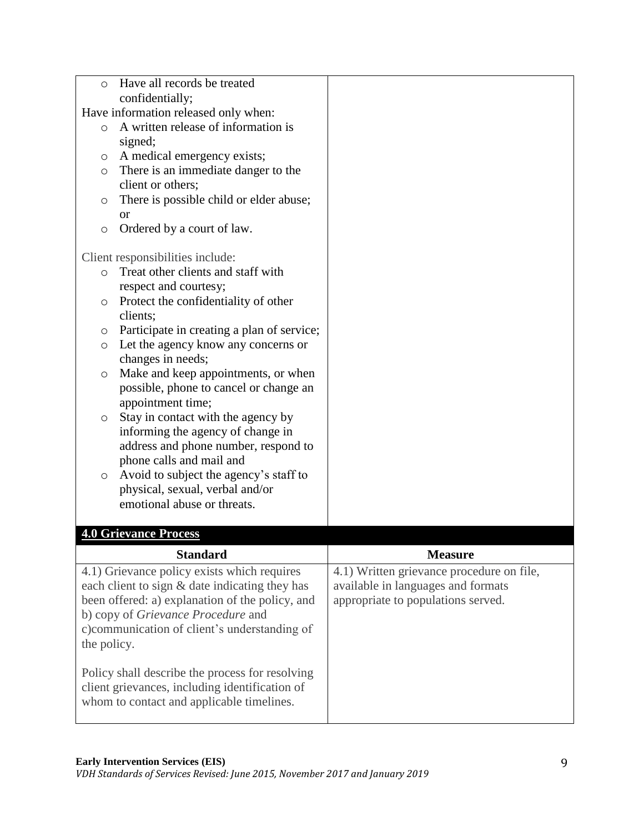| $\circ$     | Have all records be treated                     |                                                         |
|-------------|-------------------------------------------------|---------------------------------------------------------|
|             | confidentially;                                 |                                                         |
|             | Have information released only when:            |                                                         |
| $\circ$     | A written release of information is             |                                                         |
|             | signed;                                         |                                                         |
| O           | A medical emergency exists;                     |                                                         |
| $\circ$     | There is an immediate danger to the             |                                                         |
|             | client or others;                               |                                                         |
| O           | There is possible child or elder abuse;         |                                                         |
|             | <sub>or</sub>                                   |                                                         |
| $\circ$     | Ordered by a court of law.                      |                                                         |
|             | Client responsibilities include:                |                                                         |
| $\circ$     | Treat other clients and staff with              |                                                         |
|             | respect and courtesy;                           |                                                         |
| $\circ$     | Protect the confidentiality of other            |                                                         |
|             | clients;                                        |                                                         |
| $\circ$     | Participate in creating a plan of service;      |                                                         |
| $\circ$     | Let the agency know any concerns or             |                                                         |
|             | changes in needs;                               |                                                         |
| $\circ$     | Make and keep appointments, or when             |                                                         |
|             | possible, phone to cancel or change an          |                                                         |
|             | appointment time;                               |                                                         |
| O           | Stay in contact with the agency by              |                                                         |
|             | informing the agency of change in               |                                                         |
|             | address and phone number, respond to            |                                                         |
|             | phone calls and mail and                        |                                                         |
| $\circ$     | Avoid to subject the agency's staff to          |                                                         |
|             | physical, sexual, verbal and/or                 |                                                         |
|             | emotional abuse or threats.                     |                                                         |
|             |                                                 |                                                         |
|             | <b>4.0 Grievance Process</b>                    |                                                         |
|             | <b>Standard</b>                                 | <b>Measure</b>                                          |
|             | 4.1) Grievance policy exists which requires     | $\overline{4.1}$ ) Written grievance procedure on file, |
|             | each client to sign & date indicating they has  | available in languages and formats                      |
|             | been offered: a) explanation of the policy, and | appropriate to populations served.                      |
|             | b) copy of Grievance Procedure and              |                                                         |
|             | c)communication of client's understanding of    |                                                         |
| the policy. |                                                 |                                                         |
|             |                                                 |                                                         |
|             | Policy shall describe the process for resolving |                                                         |
|             | client grievances, including identification of  |                                                         |
|             | whom to contact and applicable timelines.       |                                                         |
|             |                                                 |                                                         |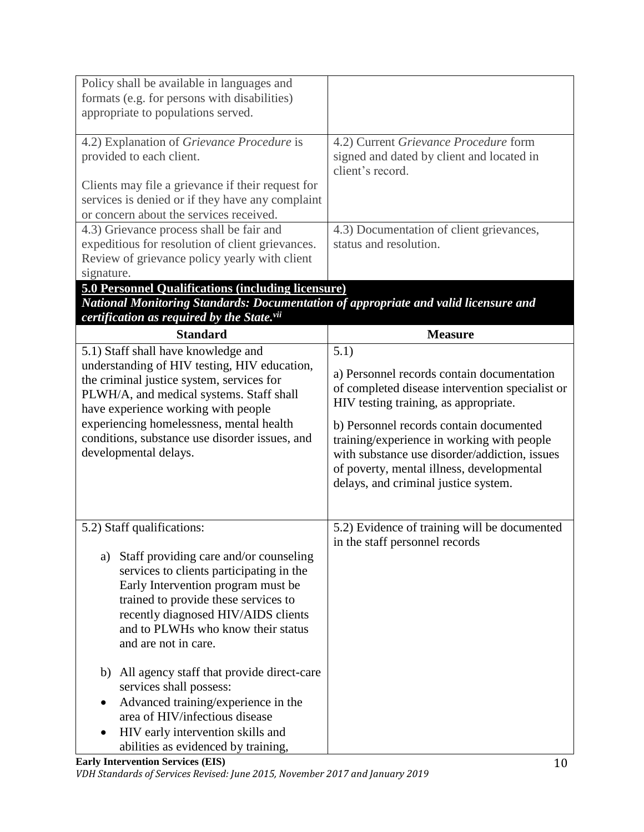| Policy shall be available in languages and                                                  |                                                                                          |
|---------------------------------------------------------------------------------------------|------------------------------------------------------------------------------------------|
| formats (e.g. for persons with disabilities)                                                |                                                                                          |
| appropriate to populations served.                                                          |                                                                                          |
|                                                                                             |                                                                                          |
| 4.2) Explanation of Grievance Procedure is                                                  | 4.2) Current Grievance Procedure form                                                    |
| provided to each client.                                                                    | signed and dated by client and located in                                                |
|                                                                                             | client's record.                                                                         |
| Clients may file a grievance if their request for                                           |                                                                                          |
| services is denied or if they have any complaint<br>or concern about the services received. |                                                                                          |
| 4.3) Grievance process shall be fair and                                                    | 4.3) Documentation of client grievances,                                                 |
| expeditious for resolution of client grievances.                                            | status and resolution.                                                                   |
| Review of grievance policy yearly with client                                               |                                                                                          |
| signature.                                                                                  |                                                                                          |
| <b>5.0 Personnel Qualifications (including licensure)</b>                                   |                                                                                          |
| National Monitoring Standards: Documentation of appropriate and valid licensure and         |                                                                                          |
| certification as required by the State.vii                                                  |                                                                                          |
| <b>Standard</b>                                                                             | <b>Measure</b>                                                                           |
| 5.1) Staff shall have knowledge and                                                         | 5.1)                                                                                     |
| understanding of HIV testing, HIV education,                                                |                                                                                          |
| the criminal justice system, services for                                                   | a) Personnel records contain documentation                                               |
| PLWH/A, and medical systems. Staff shall                                                    | of completed disease intervention specialist or<br>HIV testing training, as appropriate. |
| have experience working with people                                                         |                                                                                          |
| experiencing homelessness, mental health                                                    | b) Personnel records contain documented                                                  |
| conditions, substance use disorder issues, and                                              | training/experience in working with people                                               |
| developmental delays.                                                                       | with substance use disorder/addiction, issues                                            |
|                                                                                             | of poverty, mental illness, developmental                                                |
|                                                                                             | delays, and criminal justice system.                                                     |
|                                                                                             |                                                                                          |
| 5.2) Staff qualifications:                                                                  | 5.2) Evidence of training will be documented                                             |
|                                                                                             | in the staff personnel records                                                           |
| Staff providing care and/or counseling<br>a)                                                |                                                                                          |
| services to clients participating in the                                                    |                                                                                          |
| Early Intervention program must be                                                          |                                                                                          |
| trained to provide these services to                                                        |                                                                                          |
| recently diagnosed HIV/AIDS clients                                                         |                                                                                          |
| and to PLWHs who know their status                                                          |                                                                                          |
| and are not in care.                                                                        |                                                                                          |
|                                                                                             |                                                                                          |
| All agency staff that provide direct-care<br>b)                                             |                                                                                          |
| services shall possess:                                                                     |                                                                                          |
| Advanced training/experience in the                                                         |                                                                                          |
| area of HIV/infectious disease                                                              |                                                                                          |
| HIV early intervention skills and                                                           |                                                                                          |
| abilities as evidenced by training,                                                         |                                                                                          |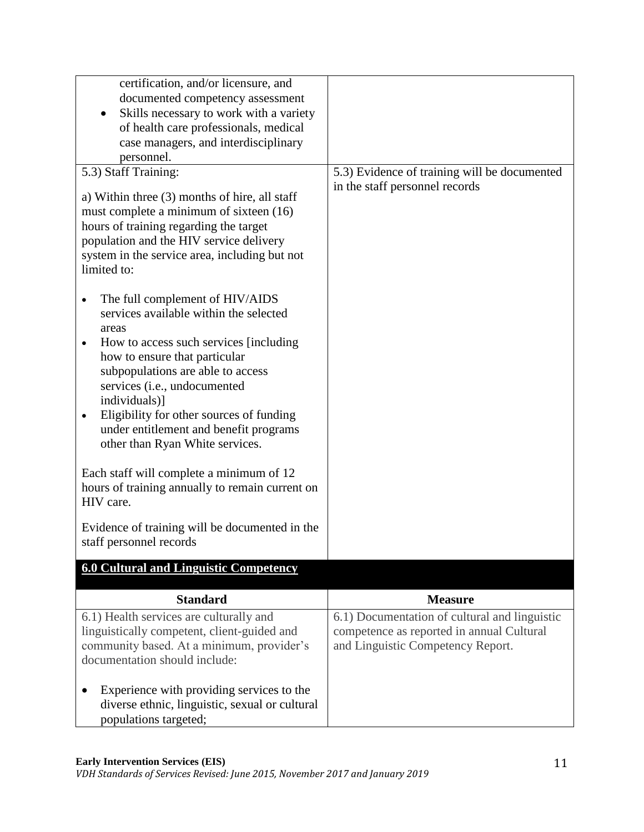| certification, and/or licensure, and<br>documented competency assessment<br>Skills necessary to work with a variety<br>of health care professionals, medical<br>case managers, and interdisciplinary                                                                                                                                                            |                                                                                                                                 |
|-----------------------------------------------------------------------------------------------------------------------------------------------------------------------------------------------------------------------------------------------------------------------------------------------------------------------------------------------------------------|---------------------------------------------------------------------------------------------------------------------------------|
| personnel.                                                                                                                                                                                                                                                                                                                                                      |                                                                                                                                 |
| 5.3) Staff Training:<br>a) Within three (3) months of hire, all staff<br>must complete a minimum of sixteen (16)<br>hours of training regarding the target<br>population and the HIV service delivery<br>system in the service area, including but not<br>limited to:<br>The full complement of HIV/AIDS<br>$\bullet$<br>services available within the selected | 5.3) Evidence of training will be documented<br>in the staff personnel records                                                  |
| areas<br>How to access such services [including]<br>$\bullet$<br>how to ensure that particular<br>subpopulations are able to access<br>services (i.e., undocumented<br>individuals)]<br>Eligibility for other sources of funding<br>$\bullet$<br>under entitlement and benefit programs<br>other than Ryan White services.                                      |                                                                                                                                 |
| Each staff will complete a minimum of 12<br>hours of training annually to remain current on<br>HIV care.                                                                                                                                                                                                                                                        |                                                                                                                                 |
| Evidence of training will be documented in the<br>staff personnel records                                                                                                                                                                                                                                                                                       |                                                                                                                                 |
| <b>6.0 Cultural and Linguistic Competency</b>                                                                                                                                                                                                                                                                                                                   |                                                                                                                                 |
| <b>Standard</b>                                                                                                                                                                                                                                                                                                                                                 | <b>Measure</b>                                                                                                                  |
| 6.1) Health services are culturally and<br>linguistically competent, client-guided and<br>community based. At a minimum, provider's<br>documentation should include:                                                                                                                                                                                            | 6.1) Documentation of cultural and linguistic<br>competence as reported in annual Cultural<br>and Linguistic Competency Report. |
| Experience with providing services to the<br>diverse ethnic, linguistic, sexual or cultural<br>populations targeted;                                                                                                                                                                                                                                            |                                                                                                                                 |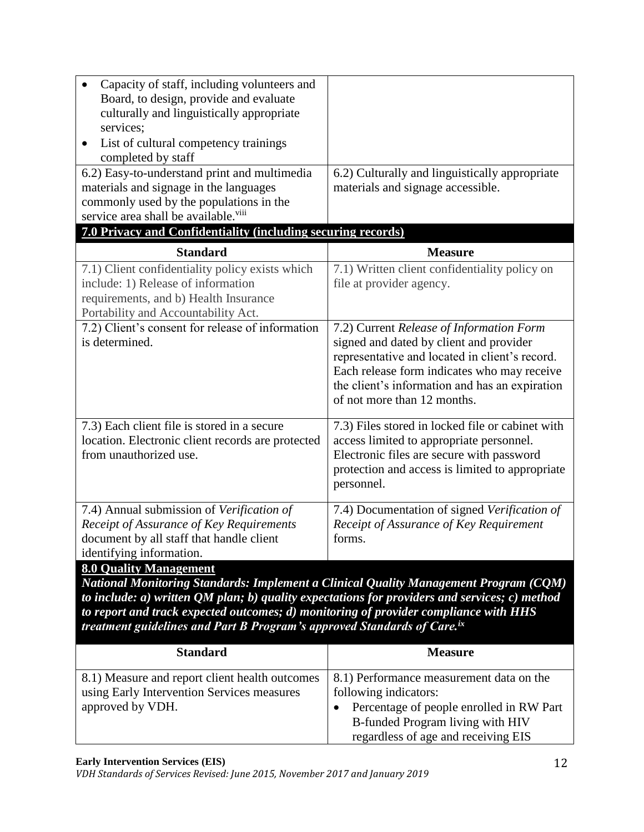| Capacity of staff, including volunteers and<br>Board, to design, provide and evaluate<br>culturally and linguistically appropriate<br>services;<br>List of cultural competency trainings<br>$\bullet$<br>completed by staff |                                                                                                                                                                                                                                                                       |
|-----------------------------------------------------------------------------------------------------------------------------------------------------------------------------------------------------------------------------|-----------------------------------------------------------------------------------------------------------------------------------------------------------------------------------------------------------------------------------------------------------------------|
| 6.2) Easy-to-understand print and multimedia                                                                                                                                                                                | 6.2) Culturally and linguistically appropriate                                                                                                                                                                                                                        |
| materials and signage in the languages                                                                                                                                                                                      | materials and signage accessible.                                                                                                                                                                                                                                     |
| commonly used by the populations in the                                                                                                                                                                                     |                                                                                                                                                                                                                                                                       |
| service area shall be available. <sup>viii</sup>                                                                                                                                                                            |                                                                                                                                                                                                                                                                       |
| 7.0 Privacy and Confidentiality (including securing records)                                                                                                                                                                |                                                                                                                                                                                                                                                                       |
| <b>Standard</b>                                                                                                                                                                                                             | <b>Measure</b>                                                                                                                                                                                                                                                        |
| 7.1) Client confidentiality policy exists which                                                                                                                                                                             | 7.1) Written client confidentiality policy on                                                                                                                                                                                                                         |
| include: 1) Release of information                                                                                                                                                                                          | file at provider agency.                                                                                                                                                                                                                                              |
| requirements, and b) Health Insurance                                                                                                                                                                                       |                                                                                                                                                                                                                                                                       |
| Portability and Accountability Act.                                                                                                                                                                                         |                                                                                                                                                                                                                                                                       |
| 7.2) Client's consent for release of information<br>is determined.                                                                                                                                                          | 7.2) Current Release of Information Form<br>signed and dated by client and provider<br>representative and located in client's record.<br>Each release form indicates who may receive<br>the client's information and has an expiration<br>of not more than 12 months. |
| 7.3) Each client file is stored in a secure<br>location. Electronic client records are protected<br>from unauthorized use.                                                                                                  | 7.3) Files stored in locked file or cabinet with<br>access limited to appropriate personnel.<br>Electronic files are secure with password<br>protection and access is limited to appropriate<br>personnel.                                                            |
| 7.4) Annual submission of Verification of<br>Receipt of Assurance of Key Requirements<br>document by all staff that handle client<br>identifying information.                                                               | 7.4) Documentation of signed Verification of<br>Receipt of Assurance of Key Requirement<br>forms.                                                                                                                                                                     |
| <b>8.0 Quality Management</b>                                                                                                                                                                                               |                                                                                                                                                                                                                                                                       |
| National Monitoring Standards: Implement a Clinical Quality Management Program (CQM)                                                                                                                                        |                                                                                                                                                                                                                                                                       |
| to include: $a)$ written QM plan; $b)$ quality expectations for providers and services; $c)$ method<br>an out and tunals gun acted gents ans any discussit outrog of negative commitments and the                           |                                                                                                                                                                                                                                                                       |
|                                                                                                                                                                                                                             |                                                                                                                                                                                                                                                                       |

*to report and track expected outcomes; d) monitoring of provider compliance with HHS treatment guidelines and Part B Program's approved Standards of Care.ix*

| <b>Standard</b>                                                                              | <b>Measure</b>                                                                                                      |
|----------------------------------------------------------------------------------------------|---------------------------------------------------------------------------------------------------------------------|
| 8.1) Measure and report client health outcomes<br>using Early Intervention Services measures | 8.1) Performance measurement data on the<br>following indicators:                                                   |
| approved by VDH.                                                                             | Percentage of people enrolled in RW Part<br>B-funded Program living with HIV<br>regardless of age and receiving EIS |